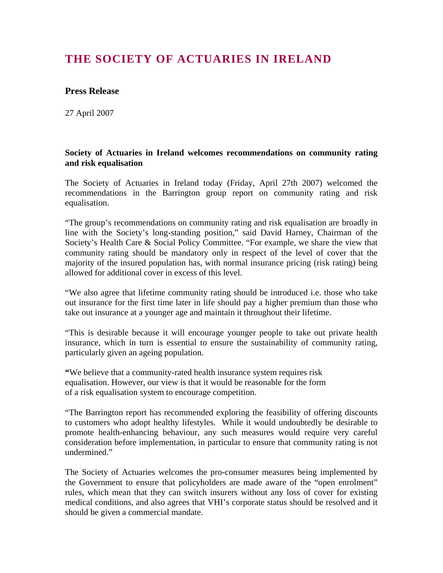## **THE SOCIETY OF ACTUARIES IN IRELAND**

## **Press Release**

27 April 2007

## **Society of Actuaries in Ireland welcomes recommendations on community rating and risk equalisation**

The Society of Actuaries in Ireland today (Friday, April 27th 2007) welcomed the recommendations in the Barrington group report on community rating and risk equalisation.

"The group's recommendations on community rating and risk equalisation are broadly in line with the Society's long-standing position," said David Harney, Chairman of the Society's Health Care & Social Policy Committee. "For example, we share the view that community rating should be mandatory only in respect of the level of cover that the majority of the insured population has, with normal insurance pricing (risk rating) being allowed for additional cover in excess of this level.

"We also agree that lifetime community rating should be introduced i.e. those who take out insurance for the first time later in life should pay a higher premium than those who take out insurance at a younger age and maintain it throughout their lifetime.

"This is desirable because it will encourage younger people to take out private health insurance, which in turn is essential to ensure the sustainability of community rating, particularly given an ageing population.

**"**We believe that a community-rated health insurance system requires risk equalisation. However, our view is that it would be reasonable for the form of a risk equalisation system to encourage competition.

"The Barrington report has recommended exploring the feasibility of offering discounts to customers who adopt healthy lifestyles. While it would undoubtedly be desirable to promote health-enhancing behaviour, any such measures would require very careful consideration before implementation, in particular to ensure that community rating is not undermined."

The Society of Actuaries welcomes the pro-consumer measures being implemented by the Government to ensure that policyholders are made aware of the "open enrolment" rules, which mean that they can switch insurers without any loss of cover for existing medical conditions, and also agrees that VHI's corporate status should be resolved and it should be given a commercial mandate.